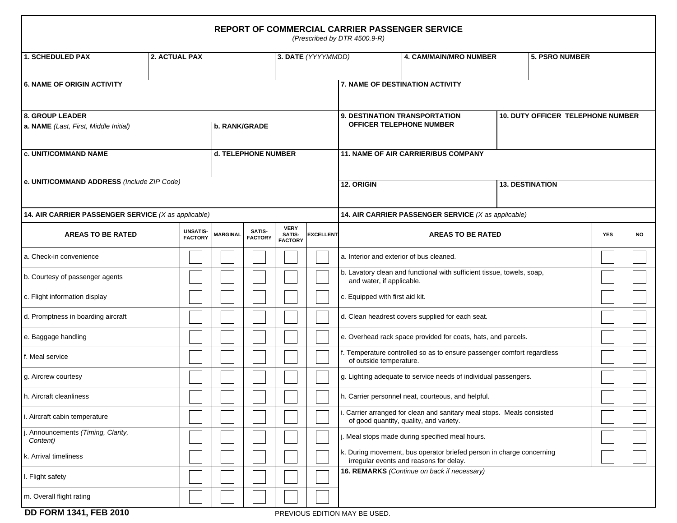| <b>REPORT OF COMMERCIAL CARRIER PASSENGER SERVICE</b><br>(Prescribed by DTR 4500.9-R) |                      |                                   |                                             |                    |                                                                                                                     |                  |                                                                                                     |                                                                                                                 |                        |                       |           |  |  |
|---------------------------------------------------------------------------------------|----------------------|-----------------------------------|---------------------------------------------|--------------------|---------------------------------------------------------------------------------------------------------------------|------------------|-----------------------------------------------------------------------------------------------------|-----------------------------------------------------------------------------------------------------------------|------------------------|-----------------------|-----------|--|--|
| <b>1. SCHEDULED PAX</b><br>2. ACTUAL PAX                                              |                      |                                   |                                             | 3. DATE (YYYYMMDD) |                                                                                                                     |                  |                                                                                                     | <b>4. CAM/MAIN/MRO NUMBER</b>                                                                                   |                        | <b>5. PSRO NUMBER</b> |           |  |  |
| <b>6. NAME OF ORIGIN ACTIVITY</b>                                                     |                      |                                   |                                             |                    |                                                                                                                     |                  | 7. NAME OF DESTINATION ACTIVITY                                                                     |                                                                                                                 |                        |                       |           |  |  |
| <b>8. GROUP LEADER</b><br>a. NAME (Last, First, Middle Initial)                       | <b>b. RANK/GRADE</b> |                                   |                                             |                    | <b>10. DUTY OFFICER TELEPHONE NUMBER</b><br><b>9. DESTINATION TRANSPORTATION</b><br><b>OFFICER TELEPHONE NUMBER</b> |                  |                                                                                                     |                                                                                                                 |                        |                       |           |  |  |
| <b>c. UNIT/COMMAND NAME</b>                                                           |                      |                                   | d. TELEPHONE NUMBER                         |                    |                                                                                                                     |                  | <b>11. NAME OF AIR CARRIER/BUS COMPANY</b>                                                          |                                                                                                                 |                        |                       |           |  |  |
| e. UNIT/COMMAND ADDRESS (Include ZIP Code)                                            |                      |                                   |                                             |                    |                                                                                                                     |                  | 12. ORIGIN                                                                                          |                                                                                                                 | <b>13. DESTINATION</b> |                       |           |  |  |
| 14. AIR CARRIER PASSENGER SERVICE (X as applicable)                                   |                      |                                   |                                             |                    |                                                                                                                     |                  | 14. AIR CARRIER PASSENGER SERVICE (X as applicable)                                                 |                                                                                                                 |                        |                       |           |  |  |
| <b>AREAS TO BE RATED</b>                                                              |                      | <b>UNSATIS-</b><br><b>FACTORY</b> | SATIS-<br><b>MARGINAL</b><br><b>FACTORY</b> |                    | <b>VERY</b><br>SATIS-<br><b>FACTORY</b>                                                                             | <b>EXCELLENT</b> | <b>AREAS TO BE RATED</b>                                                                            |                                                                                                                 |                        | <b>YES</b>            | <b>NO</b> |  |  |
| a. Check-in convenience                                                               |                      |                                   |                                             |                    |                                                                                                                     |                  | a. Interior and exterior of bus cleaned.                                                            |                                                                                                                 |                        |                       |           |  |  |
| b. Courtesy of passenger agents                                                       |                      |                                   |                                             |                    |                                                                                                                     |                  | b. Lavatory clean and functional with sufficient tissue, towels, soap,<br>and water, if applicable. |                                                                                                                 |                        |                       |           |  |  |
| c. Flight information display                                                         |                      |                                   |                                             |                    |                                                                                                                     |                  | c. Equipped with first aid kit.                                                                     |                                                                                                                 |                        |                       |           |  |  |
| d. Promptness in boarding aircraft                                                    |                      |                                   |                                             |                    |                                                                                                                     |                  | d. Clean headrest covers supplied for each seat.                                                    |                                                                                                                 |                        |                       |           |  |  |
| e. Baggage handling                                                                   |                      |                                   |                                             |                    |                                                                                                                     |                  |                                                                                                     | e. Overhead rack space provided for coats, hats, and parcels.                                                   |                        |                       |           |  |  |
| f. Meal service                                                                       |                      |                                   |                                             |                    |                                                                                                                     |                  | of outside temperature.                                                                             | f. Temperature controlled so as to ensure passenger comfort regardless                                          |                        |                       |           |  |  |
| g. Aircrew courtesy                                                                   |                      |                                   |                                             |                    |                                                                                                                     |                  |                                                                                                     | g. Lighting adequate to service needs of individual passengers.                                                 |                        |                       |           |  |  |
| h. Aircraft cleanliness                                                               |                      |                                   |                                             |                    |                                                                                                                     |                  |                                                                                                     | h. Carrier personnel neat, courteous, and helpful.                                                              |                        |                       |           |  |  |
| i. Aircraft cabin temperature                                                         |                      |                                   |                                             |                    |                                                                                                                     |                  |                                                                                                     | Carrier arranged for clean and sanitary meal stops. Meals consisted<br>of good quantity, quality, and variety.  |                        |                       |           |  |  |
| Announcements (Timing, Clarity,<br>Content)                                           |                      |                                   |                                             |                    |                                                                                                                     |                  | . Meal stops made during specified meal hours.                                                      |                                                                                                                 |                        |                       |           |  |  |
| k. Arrival timeliness                                                                 |                      |                                   |                                             |                    |                                                                                                                     |                  |                                                                                                     | k. During movement, bus operator briefed person in charge concerning<br>irregular events and reasons for delay. |                        |                       |           |  |  |
| . Flight safety                                                                       |                      |                                   |                                             |                    |                                                                                                                     |                  |                                                                                                     | 16. REMARKS (Continue on back if necessary)                                                                     |                        |                       |           |  |  |
| m. Overall flight rating                                                              |                      |                                   |                                             |                    |                                                                                                                     |                  |                                                                                                     |                                                                                                                 |                        |                       |           |  |  |